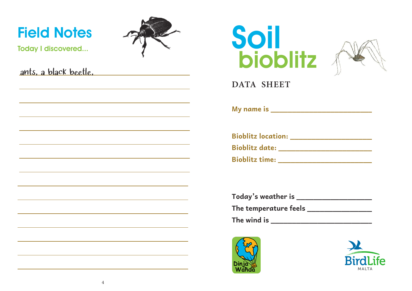## Field Notes



Today I discovered...

|  | ants, a black beetle, |
|--|-----------------------|
|  |                       |





**DATA SHEET**

**My name is \_\_\_\_\_\_\_\_\_\_\_\_\_\_\_\_\_\_\_\_\_\_\_\_\_**

|                       | <b>Bioblitz location:</b> |  |
|-----------------------|---------------------------|--|
| <b>Bioblitz date:</b> |                           |  |
| <b>Bioblitz time:</b> |                           |  |

| Today's weather is                             |  |
|------------------------------------------------|--|
| The temperature feels $\overline{\phantom{a}}$ |  |
| The wind is                                    |  |